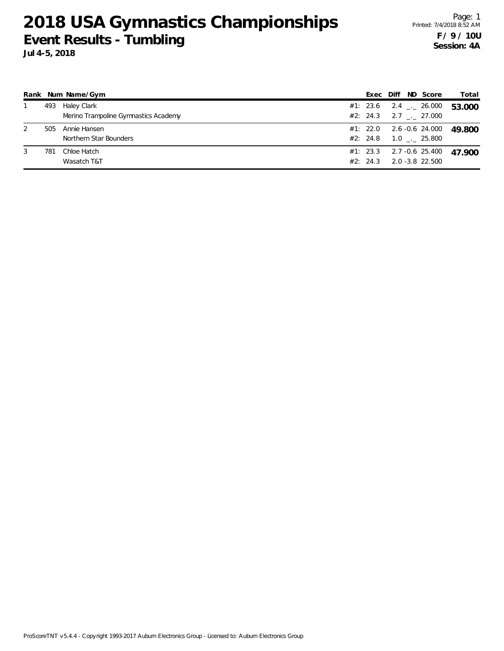|   |     | Rank Num Name/Gym                                   | Exec                 | Diff | ND Score                                                | Total  |
|---|-----|-----------------------------------------------------|----------------------|------|---------------------------------------------------------|--------|
|   | 493 | Haley Clark<br>Merino Trampoline Gymnastics Academy | #1: 23.6             |      | $2.4$ $_{\leftarrow}$ 26.000<br>$#2: 24.3$ 2.7 . 27.000 | 53.000 |
| 2 | 505 | Annie Hansen<br>Northern Star Bounders              | #1: 22.0<br>#2: 24.8 |      | 2.6 -0.6 24.000<br>$1.0$ _._ 25.800                     | 49.800 |
| 3 | 781 | Chloe Hatch<br>Wasatch T&T                          | #2: 24.3             |      | $#1: 23.3$ 2.7 -0.6 25.400<br>2.0 -3.8 22.500           | 47.900 |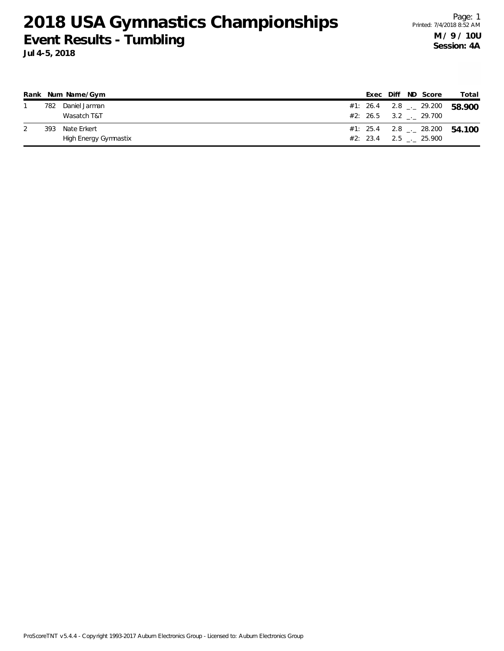Page: 1 Printed: 7/4/2018 8:52 AM **M / 9 / 10U Session: 4A**

|     | Rank Num Name/Gym     |  |  | Exec Diff ND Score      | Total                                    |
|-----|-----------------------|--|--|-------------------------|------------------------------------------|
| 782 | Daniel Jarman         |  |  |                         | #1: 26.4 2.8 $\leq$ 29.200 58.900        |
|     | Wasatch T&T           |  |  | #2: 26.5 3.2 . 29.700   |                                          |
| 393 | Nate Erkert           |  |  |                         | #1: 25.4 2.8 $\frac{1}{2}$ 28.200 54.100 |
|     | High Energy Gymnastix |  |  | $#2: 23.4$ 2.5 . 25.900 |                                          |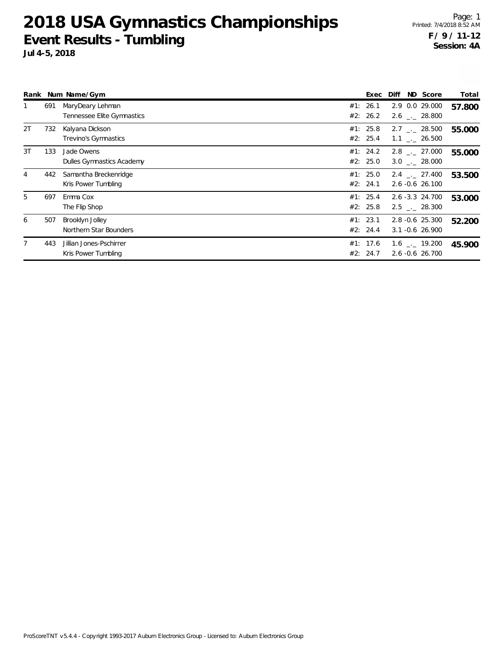**Jul 4-5, 2018**

Page: 1 Printed: 7/4/2018 8:52 AM **F / 9 / 11-12 Session: 4A**

|    |     | Rank Num Name/Gym                              | Exec                 | Diff | ND Score                                      | Total  |
|----|-----|------------------------------------------------|----------------------|------|-----------------------------------------------|--------|
|    | 691 | MaryDeary Lehman<br>Tennessee Elite Gymnastics | #1: 26.1<br>#2: 26.2 |      | 2.9 0.0 29.000<br>$2.6$ $_{-}$ 28.800         | 57.800 |
| 2T | 732 | Kalyana Dickson<br>Trevino's Gymnastics        | #1: 25.8<br>#2: 25.4 |      | $2.7$ $_{\sim}$ 28.500<br>$1.1$ $_{-}$ 26.500 | 55.000 |
| 3T | 133 | Jade Owens<br>Dulles Gymnastics Academy        | #1: 24.2<br>#2: 25.0 |      | $2.8$ $_{\sim}$ 27.000<br>$3.0$ _._ 28.000    | 55.000 |
| 4  | 442 | Samantha Breckenridge<br>Kris Power Tumbling   | #1: 25.0<br>#2: 24.1 |      | $2.4$ $_{\sim}$ 27.400<br>$2.6 - 0.6$ 26.100  | 53.500 |
| 5  | 697 | Emma Cox<br>The Flip Shop                      | #1: 25.4<br>#2: 25.8 |      | 2.6 -3.3 24.700<br>$2.5$ $_{\sim}$ 28.300     | 53.000 |
| 6  | 507 | Brooklyn Jolley<br>Northern Star Bounders      | #1: 23.1<br>#2: 24.4 |      | 2.8 -0.6 25.300<br>$3.1 - 0.6$ 26.900         | 52.200 |
| 7  | 443 | Jillian Jones-Pschirrer<br>Kris Power Tumbling | #1: 17.6<br>#2: 24.7 |      | $1.6$ _._ 19.200<br>2.6 -0.6 26.700           | 45.900 |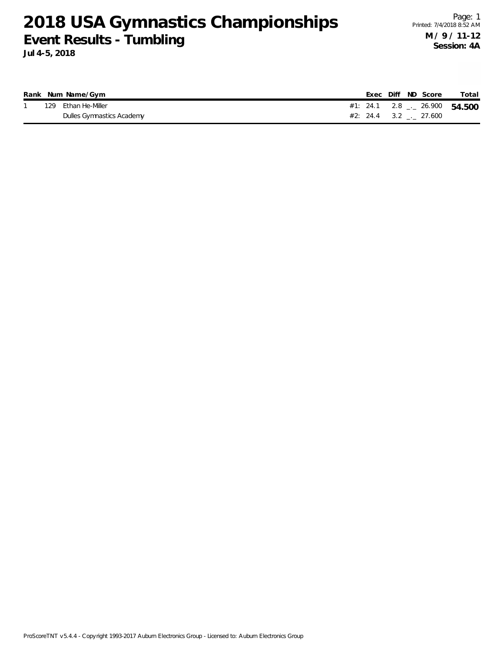|  | Rank Num Name/Gym         |                                          |  | Exec Diff ND Score | Total |
|--|---------------------------|------------------------------------------|--|--------------------|-------|
|  | 129 Ethan He-Miller       | #1: 24.1 2.8 $\frac{1}{2}$ 26.900 54.500 |  |                    |       |
|  | Dulles Gymnastics Academy | $\#2$ : 24.4 3.2 . 27.600                |  |                    |       |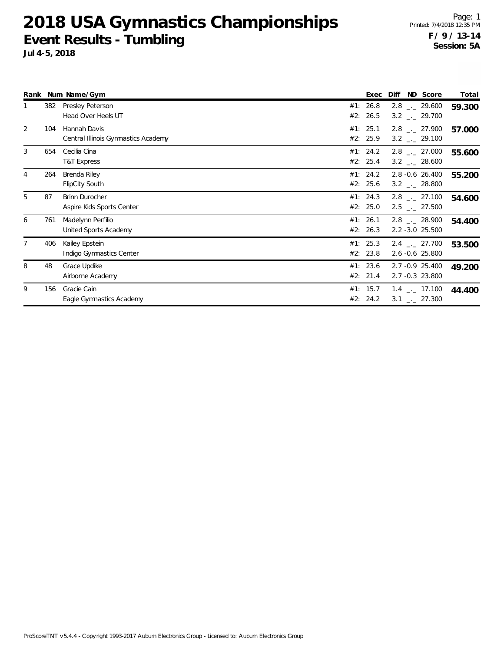|    |     | Rank Num Name/Gym                                   |            | Exec                 | Diff | ND Score                                                     | Total  |
|----|-----|-----------------------------------------------------|------------|----------------------|------|--------------------------------------------------------------|--------|
|    | 382 | <b>Presley Peterson</b><br>Head Over Heels UT       | #1:<br>#2: | 26.8<br>26.5         |      | $2.8$ $_{\leftarrow}$ 29.600<br>$3.2$ $_{\leftarrow}$ 29.700 | 59.300 |
| 2  | 104 | Hannah Davis<br>Central Illinois Gymnastics Academy |            | #1: 25.1<br>#2: 25.9 |      | $2.8$ $_{\sim}$ 27.900<br>$3.2$ $_{\leftarrow}$ 29.100       | 57.000 |
| 3  | 654 | Cecilia Cina<br>T&T Express                         |            | #1: 24.2<br>#2: 25.4 |      | $2.8$ $_{\leftarrow}$ 27.000<br>$3.2$ _._ 28.600             | 55.600 |
| 4  | 264 | Brenda Riley<br><b>FlipCity South</b>               |            | #1: 24.2<br>#2: 25.6 |      | $2.8 - 0.6$ 26.400<br>$3.2$ _._ 28.800                       | 55.200 |
| 5. | 87  | <b>Brinn Durocher</b><br>Aspire Kids Sports Center  |            | #1: 24.3<br>#2: 25.0 |      | $2.8$ $_{\sim}$ 27.100<br>$2.5$ $_{\leftarrow}$ 27.500       | 54.600 |
| 6  | 761 | Madelynn Perfilio<br>United Sports Academy          | #1:        | 26.1<br>#2: 26.3     |      | $2.8$ $_{\leftarrow}$ 28.900<br>$2.2 - 3.0$ 25.500           | 54.400 |
|    | 406 | Kailey Epstein<br>Indigo Gymnastics Center          |            | #1: 25.3<br>#2: 23.8 |      | $2.4$ $_{\sim}$ 27.700<br>2.6 -0.6 25.800                    | 53.500 |
| 8  | 48  | Grace Updike<br>Airborne Academy                    |            | #1: 23.6<br>#2: 21.4 |      | 2.7 -0.9 25.400<br>2.7 -0.3 23.800                           | 49.200 |
| 9  | 156 | Gracie Cain<br>Eagle Gymnastics Academy             |            | #1: 15.7<br>#2: 24.2 |      | $1.4$ $_{\leftarrow}$ 17.100<br>$3.1$ $_{\leftarrow}$ 27.300 | 44.400 |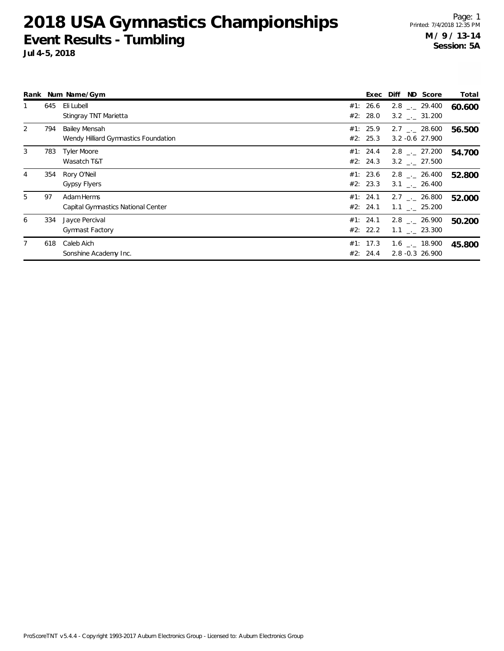|   |     | Rank Num Name/Gym                                     | Exec                 | ND Score<br>Diff                               | Total  |
|---|-----|-------------------------------------------------------|----------------------|------------------------------------------------|--------|
|   | 645 | Eli Lubell<br>Stingray TNT Marietta                   | #1: 26.6<br>#2: 28.0 | $2.8$ $_{\sim}$ 29.400<br>$3.2$ $_{--}$ 31.200 | 60.600 |
| 2 | 794 | Bailey Mensah<br>Wendy Hilliard Gymnastics Foundation | #1: 25.9<br>#2: 25.3 | $2.7$ $_{\sim}$ 28.600<br>$3.2 - 0.6$ 27.900   | 56.500 |
| 3 | 783 | <b>Tyler Moore</b><br>Wasatch T&T                     | #1: 24.4<br>#2: 24.3 | $2.8$ $_{\sim}$ 27.200<br>$3.2$ $_{-}$ 27.500  | 54.700 |
| 4 | 354 | Rory O'Neil<br>Gypsy Flyers                           | #1: 23.6<br>#2: 23.3 | $2.8$ $_{\sim}$ 26.400<br>$3.1$ $-.$ 26.400    | 52.800 |
| 5 | 97  | Adam Herms<br>Capital Gymnastics National Center      | #1: 24.1<br>#2: 24.1 | $2.7$ $_{-}$ 26.800<br>$1.1$ $_{-}$ 25.200     | 52.000 |
| 6 | 334 | Jayce Percival<br><b>Gymnast Factory</b>              | #1: 24.1<br>#2: 22.2 | 2.8 . 26.900<br>$1.1$ $_{-}$ 23.300            | 50.200 |
|   | 618 | Caleb Aich<br>Sonshine Academy Inc.                   | #1: 17.3<br>#2: 24.4 | $1.6$ _._ 18.900<br>2.8 -0.3 26.900            | 45.800 |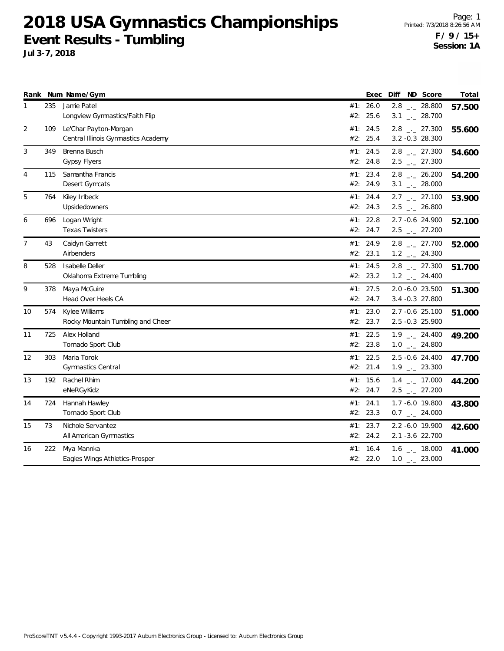**Jul 3-7, 2018**

|    |     | Rank Num Name/Gym                                            |                      | Exec | Diff<br>ND Score                                    | Total  |
|----|-----|--------------------------------------------------------------|----------------------|------|-----------------------------------------------------|--------|
| 1  | 235 | Jamie Patel<br>Longview Gymnastics/Faith Flip                | #1: 26.0<br>#2: 25.6 |      | $2.8$ $_{-}$ 28.800<br>$3.1$ $_{-1}$ 28.700         | 57.500 |
| 2  | 109 | Le'Char Payton-Morgan<br>Central Illinois Gymnastics Academy | #1:<br>#2: 25.4      | 24.5 | $2.8$ $_{-}$ 27.300<br>$3.2 -0.3$ 28.300            | 55.600 |
| 3  | 349 | Brenna Busch<br><b>Gypsy Flyers</b>                          | #1: 24.5<br>#2: 24.8 |      | $2.8$ $_{-}$ 27.300<br>$2.5$ $_{\leftarrow}$ 27.300 | 54.600 |
| 4  | 115 | Samantha Francis<br>Desert Gymcats                           | #1: 23.4<br>#2: 24.9 |      | $2.8$ - 26.200<br>$3.1$ _ 28.000                    | 54.200 |
| 5  | 764 | Kiley Irlbeck<br>Upsidedowners                               | #1: 24.4<br>#2: 24.3 |      | $2.7$ $_{\leftarrow}$ 27.100<br>$2.5$ $_{-}$ 26.800 | 53.900 |
| 6  | 696 | Logan Wright<br><b>Texas Twisters</b>                        | #1: 22.8<br>#2: 24.7 |      | 2.7 -0.6 24.900<br>$2.5$ $_{\leftarrow}$ 27.200     | 52.100 |
| 7  | 43  | Caidyn Garrett<br>Airbenders                                 | #1: 24.9<br>#2: 23.1 |      | $2.8$ $_{-}$ 27.700<br>$1.2$ _ 24.300               | 52.000 |
| 8  | 528 | Isabelle Deller<br>Oklahoma Extreme Tumbling                 | #1: 24.5<br>#2: 23.2 |      | $2.8$ $_{-}$ 27.300<br>$1.2$ $_{-}$ 24.400          | 51.700 |
| 9  | 378 | Maya McGuire<br>Head Over Heels CA                           | #1:<br>#2: 24.7      | 27.5 | 2.0 -6.0 23.500<br>3.4 -0.3 27.800                  | 51.300 |
| 10 | 574 | Kylee Williams<br>Rocky Mountain Tumbling and Cheer          | #1: 23.0<br>#2: 23.7 |      | 2.7 -0.6 25.100<br>2.5 -0.3 25.900                  | 51.000 |
| 11 | 725 | Alex Holland<br>Tornado Sport Club                           | #1: 22.5<br>#2: 23.8 |      | $1.9$ $_{\leftarrow}$ 24.400<br>$1.0$ _ 24.800      | 49.200 |
| 12 | 303 | Maria Torok<br><b>Gymnastics Central</b>                     | #1: 22.5<br>#2: 21.4 |      | 2.5 -0.6 24.400<br>$1.9$ $_{\leftarrow}$ 23.300     | 47.700 |
| 13 | 192 | Rachel Rhim<br>eNeRGyKidz                                    | #1: 15.6<br>#2: 24.7 |      | $1.4$ $_{-1}$ 17.000<br>$2.5$ $_{-}$ 27.200         | 44.200 |
| 14 | 724 | Hannah Hawley<br>Tornado Sport Club                          | #1: 24.1<br>#2: 23.3 |      | 1.7 -6.0 19.800<br>$0.7$ $_{\leftarrow}$ 24.000     | 43.800 |
| 15 | 73  | Nichole Servantez<br>All American Gymnastics                 | #1: 23.7<br>#2: 24.2 |      | 2.2 -6.0 19.900<br>2.1 -3.6 22.700                  | 42.600 |
| 16 | 222 | Mya Mannka<br>Eagles Wings Athletics-Prosper                 | #1:<br>#2: 22.0      | 16.4 | 1.6 $_{-}$ 18.000<br>$1.0$ _ 23.000                 | 41.000 |